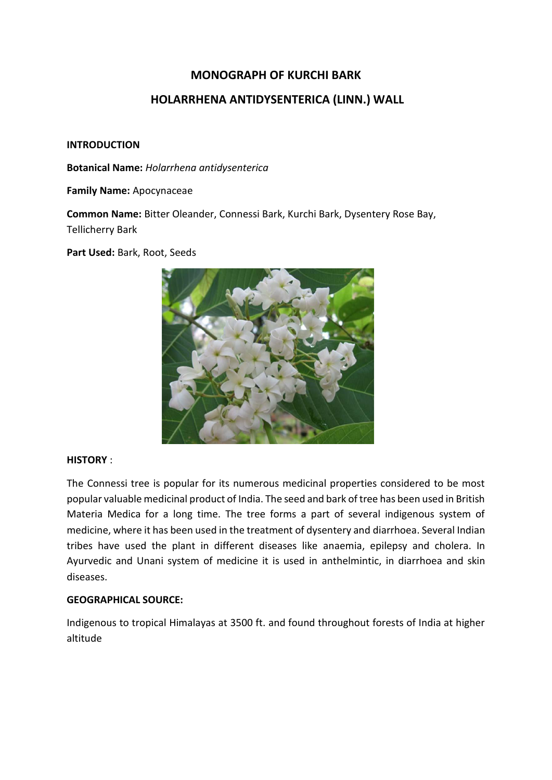# **MONOGRAPH OF KURCHI BARK**

# **HOLARRHENA ANTIDYSENTERICA (LINN.) WALL**

#### **INTRODUCTION**

**Botanical Name:** *Holarrhena antidysenterica*

**Family Name:** Apocynaceae

**Common Name:** Bitter Oleander, Connessi Bark, Kurchi Bark, Dysentery Rose Bay, Tellicherry Bark

**Part Used:** Bark, Root, Seeds



#### **HISTORY** :

The Connessi tree is popular for its numerous medicinal properties considered to be most popular valuable medicinal product of India. The seed and bark of tree has been used in British Materia Medica for a long time. The tree forms a part of several indigenous system of medicine, where it has been used in the treatment of dysentery and diarrhoea. Several Indian tribes have used the plant in different diseases like anaemia, epilepsy and cholera. In Ayurvedic and Unani system of medicine it is used in anthelmintic, in diarrhoea and skin diseases.

#### **GEOGRAPHICAL SOURCE:**

Indigenous to tropical Himalayas at 3500 ft. and found throughout forests of India at higher altitude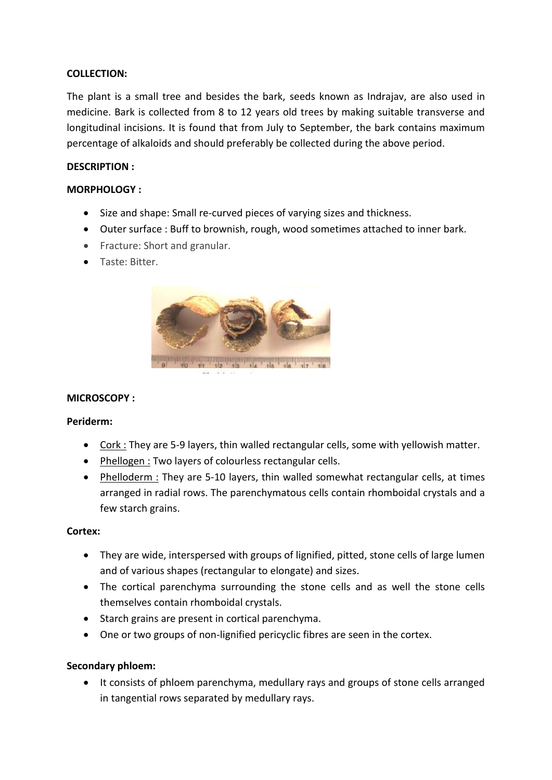### **COLLECTION:**

The plant is a small tree and besides the bark, seeds known as Indrajav, are also used in medicine. Bark is collected from 8 to 12 years old trees by making suitable transverse and longitudinal incisions. It is found that from July to September, the bark contains maximum percentage of alkaloids and should preferably be collected during the above period.

#### **DESCRIPTION :**

### **MORPHOLOGY :**

- Size and shape: Small re-curved pieces of varying sizes and thickness.
- Outer surface : Buff to brownish, rough, wood sometimes attached to inner bark.
- Fracture: Short and granular.
- Taste: Bitter.



# **MICROSCOPY :**

#### **Periderm:**

- Cork : They are 5-9 layers, thin walled rectangular cells, some with yellowish matter.
- Phellogen : Two layers of colourless rectangular cells.
- Phelloderm : They are 5-10 layers, thin walled somewhat rectangular cells, at times arranged in radial rows. The parenchymatous cells contain rhomboidal crystals and a few starch grains.

#### **Cortex:**

- They are wide, interspersed with groups of lignified, pitted, stone cells of large lumen and of various shapes (rectangular to elongate) and sizes.
- The cortical parenchyma surrounding the stone cells and as well the stone cells themselves contain rhomboidal crystals.
- Starch grains are present in cortical parenchyma.
- One or two groups of non-lignified pericyclic fibres are seen in the cortex.

#### **Secondary phloem:**

• It consists of phloem parenchyma, medullary rays and groups of stone cells arranged in tangential rows separated by medullary rays.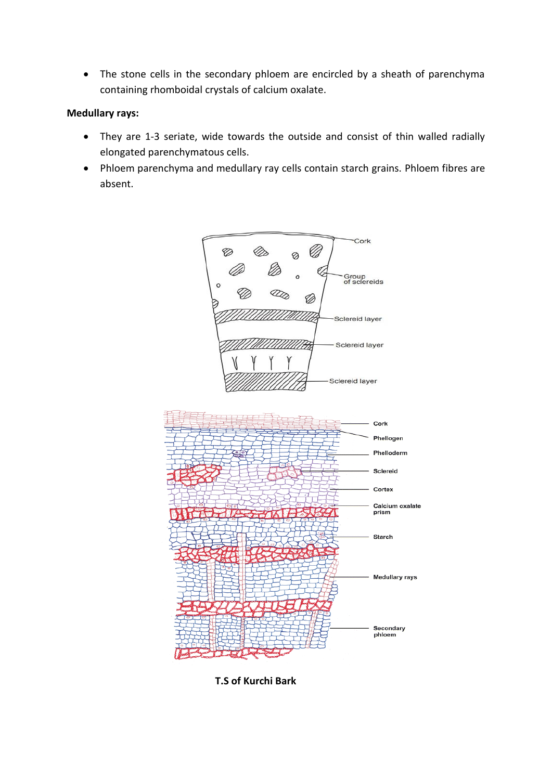• The stone cells in the secondary phloem are encircled by a sheath of parenchyma containing rhomboidal crystals of calcium oxalate.

### **Medullary rays:**

- They are 1-3 seriate, wide towards the outside and consist of thin walled radially elongated parenchymatous cells.
- Phloem parenchyma and medullary ray cells contain starch grains. Phloem fibres are absent.



 **T.S of Kurchi Bark**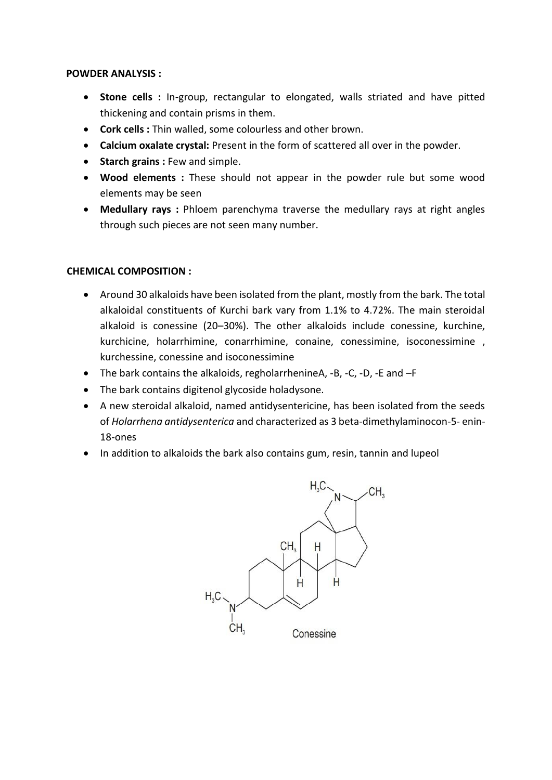#### **POWDER ANALYSIS :**

- **Stone cells :** In-group, rectangular to elongated, walls striated and have pitted thickening and contain prisms in them.
- **Cork cells :** Thin walled, some colourless and other brown.
- **Calcium oxalate crystal:** Present in the form of scattered all over in the powder.
- **•** Starch grains : Few and simple.
- **Wood elements :** These should not appear in the powder rule but some wood elements may be seen
- **Medullary rays :** Phloem parenchyma traverse the medullary rays at right angles through such pieces are not seen many number.

### **CHEMICAL COMPOSITION :**

- Around 30 alkaloids have been isolated from the plant, mostly from the bark. The total alkaloidal constituents of Kurchi bark vary from 1.1% to 4.72%. The main steroidal alkaloid is conessine (20–30%). The other alkaloids include conessine, kurchine, kurchicine, holarrhimine, conarrhimine, conaine, conessimine, isoconessimine , kurchessine, conessine and isoconessimine
- The bark contains the alkaloids, regholarrhenineA, -B, -C, -D, -E and –F
- The bark contains digitenol glycoside holadysone.
- A new steroidal alkaloid, named antidysentericine, has been isolated from the seeds of *Holarrhena antidysenterica* and characterized as 3 beta-dimethylaminocon-5- enin-18-ones
- In addition to alkaloids the bark also contains gum, resin, tannin and lupeol